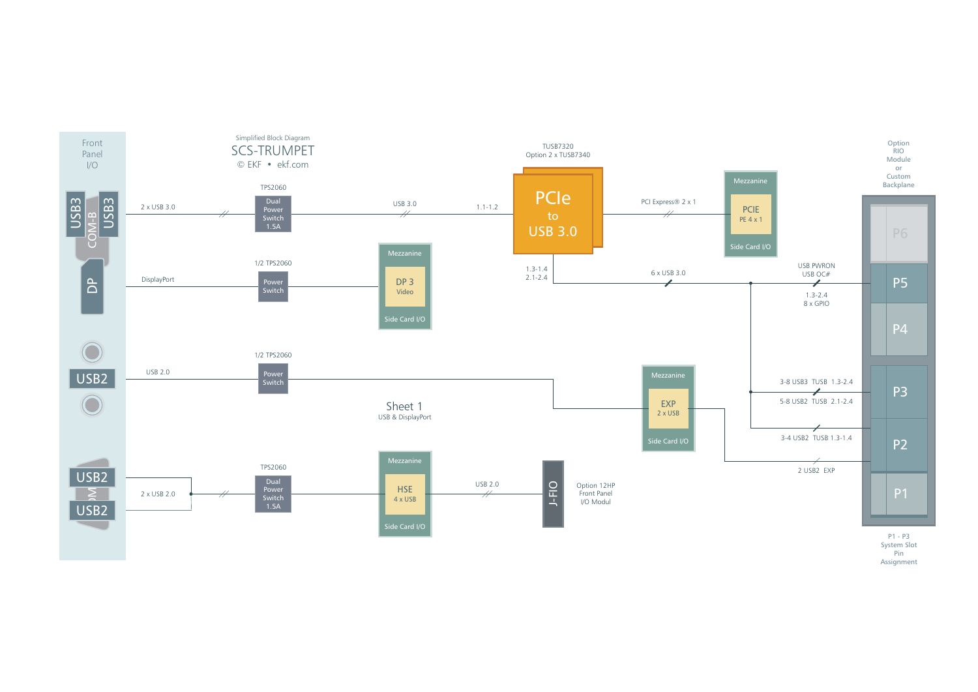

Assignment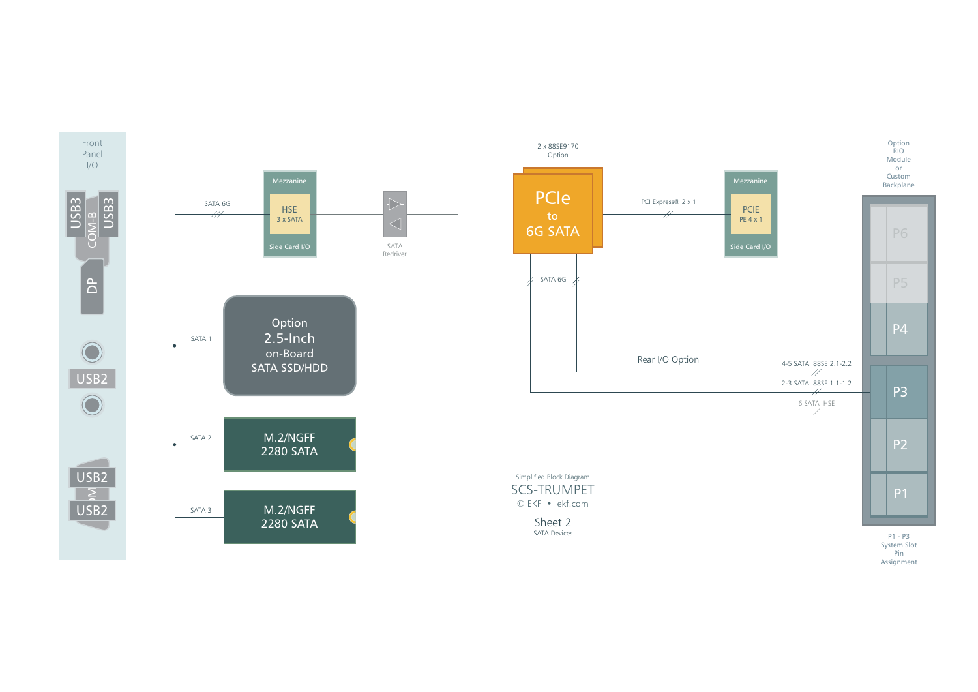

Pin Assignment